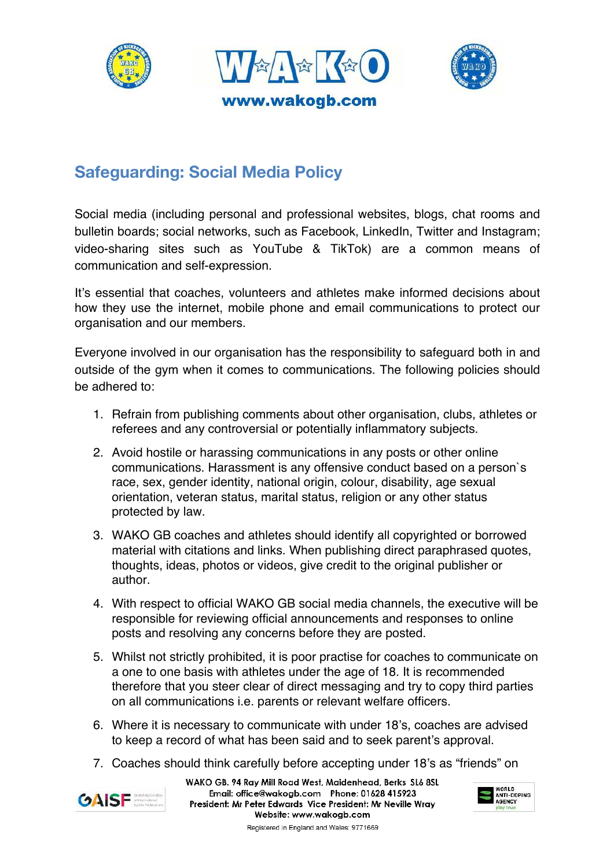





## **Safeguarding: Social Media Policy**

Social media (including personal and professional websites, blogs, chat rooms and bulletin boards; social networks, such as Facebook, LinkedIn, Twitter and Instagram; video-sharing sites such as YouTube & TikTok) are a common means of communication and self-expression.

It's essential that coaches, volunteers and athletes make informed decisions about how they use the internet, mobile phone and email communications to protect our organisation and our members.

Everyone involved in our organisation has the responsibility to safeguard both in and outside of the gym when it comes to communications. The following policies should be adhered to:

- 1. Refrain from publishing comments about other organisation, clubs, athletes or referees and any controversial or potentially inflammatory subjects.
- 2. Avoid hostile or harassing communications in any posts or other online communications. Harassment is any offensive conduct based on a person`s race, sex, gender identity, national origin, colour, disability, age sexual orientation, veteran status, marital status, religion or any other status protected by law.
- 3. WAKO GB coaches and athletes should identify all copyrighted or borrowed material with citations and links. When publishing direct paraphrased quotes, thoughts, ideas, photos or videos, give credit to the original publisher or author.
- 4. With respect to official WAKO GB social media channels, the executive will be responsible for reviewing official announcements and responses to online posts and resolving any concerns before they are posted.
- 5. Whilst not strictly prohibited, it is poor practise for coaches to communicate on a one to one basis with athletes under the age of 18. It is recommended therefore that you steer clear of direct messaging and try to copy third parties on all communications i.e. parents or relevant welfare officers.
- 6. Where it is necessary to communicate with under 18's, coaches are advised to keep a record of what has been said and to seek parent's approval.
- 7. Coaches should think carefully before accepting under 18's as "friends" on